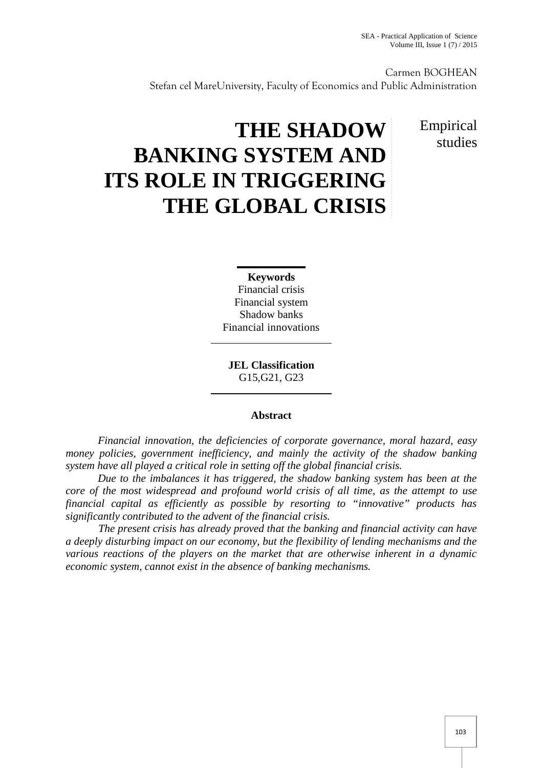Carmen BOGHEAN Stefan cel MareUniversity, Faculty of Economics and Public Administration

# **THE SHADOW BANKING SYSTEM AND ITS ROLE IN TRIGGERING THE GLOBAL CRISIS**

## Empirical studies

**Keywords** Financial crisis Financial system Shadow banks Financial innovations

**JEL Classification** G15,G21, G23

#### **Abstract**

*Financial innovation, the deficiencies of corporate governance, moral hazard, easy money policies, government inefficiency, and mainly the activity of the shadow banking system have all played a critical role in setting off the global financial crisis.*

*Due to the imbalances it has triggered, the shadow banking system has been at the core of the most widespread and profound world crisis of all time, as the attempt to use financial capital as efficiently as possible by resorting to "innovative" products has significantly contributed to the advent of the financial crisis.*

*The present crisis has already proved that the banking and financial activity can have a deeply disturbing impact on our economy, but the flexibility of lending mechanisms and the various reactions of the players on the market that are otherwise inherent in a dynamic economic system, cannot exist in the absence of banking mechanisms.*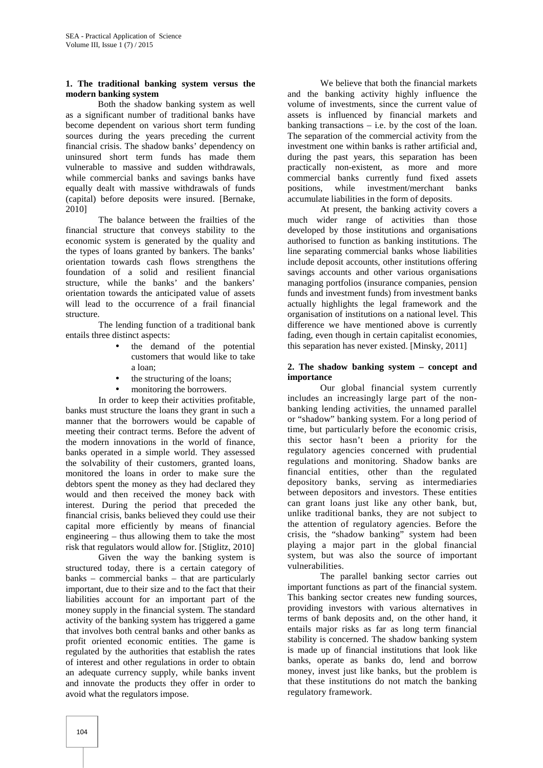#### **1. The traditional banking system versus the modern banking system**

Both the shadow banking system as well as a significant number of traditional banks have become dependent on various short term funding sources during the years preceding the current financial crisis. The shadow banks' dependency on uninsured short term funds has made them vulnerable to massive and sudden withdrawals, while commercial banks and savings banks have equally dealt with massive withdrawals of funds (capital) before deposits were insured. [Bernake, 2010]

The balance between the frailties of the financial structure that conveys stability to the economic system is generated by the quality and the types of loans granted by bankers. The banks' orientation towards cash flows strengthens the foundation of a solid and resilient financial structure, while the banks' and the bankers' orientation towards the anticipated value of assets will lead to the occurrence of a frail financial structure.

The lending function of a traditional bank entails three distinct aspects:

- the demand of the potential customers that would like to take a loan;
- the structuring of the loans;
- monitoring the borrowers.

In order to keep their activities profitable, banks must structure the loans they grant in such a manner that the borrowers would be capable of meeting their contract terms. Before the advent of the modern innovations in the world of finance, banks operated in a simple world. They assessed the solvability of their customers, granted loans, monitored the loans in order to make sure the debtors spent the money as they had declared they would and then received the money back with interest. During the period that preceded the financial crisis, banks believed they could use their capital more efficiently by means of financial engineering – thus allowing them to take the most risk that regulators would allow for. [Stiglitz, 2010]

Given the way the banking system is structured today, there is a certain category of banks – commercial banks – that are particularly important, due to their size and to the fact that their liabilities account for an important part of the money supply in the financial system. The standard activity of the banking system has triggered a game that involves both central banks and other banks as profit oriented economic entities. The game is regulated by the authorities that establish the rates of interest and other regulations in order to obtain an adequate currency supply, while banks invent and innovate the products they offer in order to avoid what the regulators impose.

We believe that both the financial markets and the banking activity highly influence the volume of investments, since the current value of assets is influenced by financial markets and banking transactions  $-$  i.e. by the cost of the loan. The separation of the commercial activity from the investment one within banks is rather artificial and, during the past years, this separation has been practically non-existent, as more and more commercial banks currently fund fixed assets positions, while investment/merchant banks accumulate liabilities in the form of deposits.

At present, the banking activity covers a much wider range of activities than those developed by those institutions and organisations authorised to function as banking institutions. The line separating commercial banks whose liabilities include deposit accounts, other institutions offering savings accounts and other various organisations managing portfolios (insurance companies, pension funds and investment funds) from investment banks actually highlights the legal framework and the organisation of institutions on a national level. This difference we have mentioned above is currently fading, even though in certain capitalist economies, this separation has never existed. [Minsky, 2011]

#### **2. The shadow banking system – concept and importance**

Our global financial system currently includes an increasingly large part of the non banking lending activities, the unnamed parallel or "shadow" banking system. For a long period of time, but particularly before the economic crisis, this sector hasn't been a priority for the regulatory agencies concerned with prudential regulations and monitoring. Shadow banks are financial entities, other than the regulated depository banks, serving as intermediaries between depositors and investors. These entities can grant loans just like any other bank, but, unlike traditional banks, they are not subject to the attention of regulatory agencies. Before the crisis, the "shadow banking" system had been playing a major part in the global financial system, but was also the source of important vulnerabilities.

The parallel banking sector carries out important functions as part of the financial system. This banking sector creates new funding sources, providing investors with various alternatives in terms of bank deposits and, on the other hand, it entails major risks as far as long term financial stability is concerned. The shadow banking system is made up of financial institutions that look like banks, operate as banks do, lend and borrow money, invest just like banks, but the problem is that these institutions do not match the banking regulatory framework.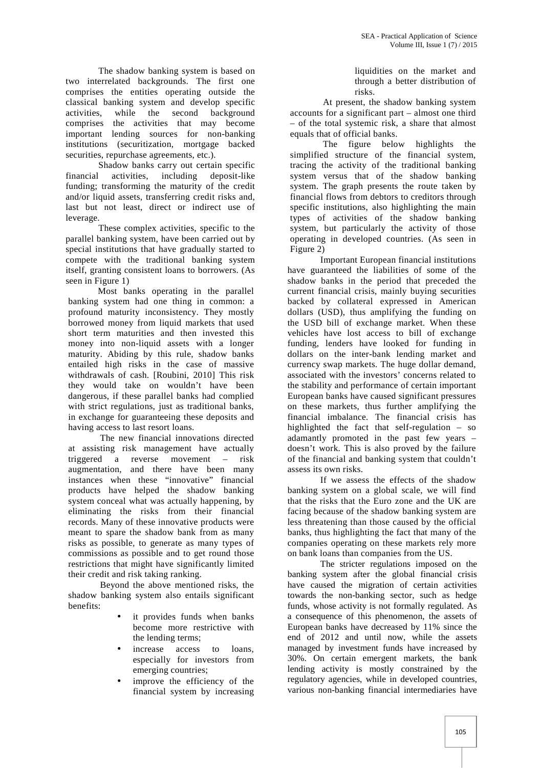The shadow banking system is based on two interrelated backgrounds. The first one comprises the entities operating outside the classical banking system and develop specific activities, while the second background comprises the activities that may become important lending sources for non-banking institutions (securitization, mortgage backed securities, repurchase agreements, etc.).

Shadow banks carry out certain specific financial activities, including deposit-like funding; transforming the maturity of the credit and/or liquid assets, transferring credit risks and, last but not least, direct or indirect use of leverage.

These complex activities, specific to the parallel banking system, have been carried out by special institutions that have gradually started to compete with the traditional banking system itself, granting consistent loans to borrowers. (As seen in Figure 1)

Most banks operating in the parallel banking system had one thing in common: a profound maturity inconsistency. They mostly borrowed money from liquid markets that used short term maturities and then invested this money into non-liquid assets with a longer maturity. Abiding by this rule, shadow banks entailed high risks in the case of massive withdrawals of cash. [Roubini, 2010] This risk they would take on wouldn't have been dangerous, if these parallel banks had complied with strict regulations, just as traditional banks, in exchange for guaranteeing these deposits and having access to last resort loans.

The new financial innovations directed at assisting risk management have actually triggered a reverse movement – risk augmentation, and there have been many instances when these "innovative" financial products have helped the shadow banking system conceal what was actually happening, by eliminating the risks from their financial records. Many of these innovative products were meant to spare the shadow bank from as many risks as possible, to generate as many types of commissions as possible and to get round those restrictions that might have significantly limited their credit and risk taking ranking.

Beyond the above mentioned risks, the shadow banking system also entails significant benefits:

- it provides funds when banks become more restrictive with the lending terms;
- increase access to loans, especially for investors from emerging countries;
- improve the efficiency of the financial system by increasing

liquidities on the market and through a better distribution of risks.

At present, the shadow banking system accounts for a significant part – almost one third – of the total systemic risk, a share that almost equals that of official banks.

The figure below highlights the simplified structure of the financial system, tracing the activity of the traditional banking system versus that of the shadow banking system. The graph presents the route taken by financial flows from debtors to creditors through specific institutions, also highlighting the main types of activities of the shadow banking system, but particularly the activity of those operating in developed countries. (As seen in Figure 2)

Important European financial institutions have guaranteed the liabilities of some of the shadow banks in the period that preceded the current financial crisis, mainly buying securities backed by collateral expressed in American dollars (USD), thus amplifying the funding on the USD bill of exchange market. When these vehicles have lost access to bill of exchange funding, lenders have looked for funding in dollars on the inter-bank lending market and currency swap markets. The huge dollar demand, associated with the investors' concerns related to the stability and performance of certain important European banks have caused significant pressures on these markets, thus further amplifying the financial imbalance. The financial crisis has highlighted the fact that self-regulation – so adamantly promoted in the past few years – doesn't work. This is also proved by the failure of the financial and banking system that couldn't assess its own risks.

If we assess the effects of the shadow banking system on a global scale, we will find that the risks that the Euro zone and the UK are facing because of the shadow banking system are less threatening than those caused by the official banks, thus highlighting the fact that many of the companies operating on these markets rely more on bank loans than companies from the US.

The stricter regulations imposed on the banking system after the global financial crisis have caused the migration of certain activities towards the non-banking sector, such as hedge funds, whose activity is not formally regulated. As a consequence of this phenomenon, the assets of European banks have decreased by 11% since the end of 2012 and until now, while the assets managed by investment funds have increased by 30%. On certain emergent markets, the bank lending activity is mostly constrained by the regulatory agencies, while in developed countries, various non-banking financial intermediaries have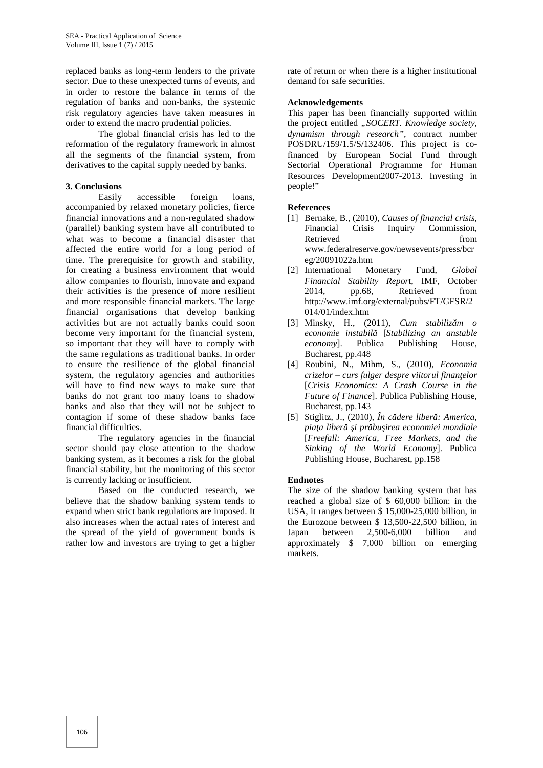replaced banks as long-term lenders to the private sector. Due to these unexpected turns of events, and in order to restore the balance in terms of the regulation of banks and non-banks, the systemic risk regulatory agencies have taken measures in order to extend the macro prudential policies.

The global financial crisis has led to the reformation of the regulatory framework in almost all the segments of the financial system, from derivatives to the capital supply needed by banks.

#### **3. Conclusions**

Easily accessible foreign loans, accompanied by relaxed monetary policies, fierce financial innovations and a non-regulated shadow (parallel) banking system have all contributed to what was to become a financial disaster that affected the entire world for a long period of time. The prerequisite for growth and stability, for creating a business environment that would allow companies to flourish, innovate and expand their activities is the presence of more resilient and more responsible financial markets. The large financial organisations that develop banking activities but are not actually banks could soon become very important for the financial system, so important that they will have to comply with the same regulations as traditional banks. In order to ensure the resilience of the global financial system, the regulatory agencies and authorities will have to find new ways to make sure that banks do not grant too many loans to shadow banks and also that they will not be subject to contagion if some of these shadow banks face financial difficulties.

The regulatory agencies in the financial sector should pay close attention to the shadow banking system, as it becomes a risk for the global financial stability, but the monitoring of this sector is currently lacking or insufficient.

Based on the conducted research, we believe that the shadow banking system tends to expand when strict bank regulations are imposed. It also increases when the actual rates of interest and the spread of the yield of government bonds is rather low and investors are trying to get a higher rate of return or when there is a higher institutional demand for safe securities.

#### **Acknowledgements**

This paper has been financially supported within the project entitled *"SOCERT. Knowledge society, dynamism through research",* contract number POSDRU/159/1.5/S/132406. This project is cofinanced by European Social Fund through Sectorial Operational Programme for Human Resources Development2007-2013. Investing in people!"

#### **References**

- [1] Bernake, B., (2010), *Causes of financial crisis*, Financial Crisis Inquiry Commission, Retrieved from www.federalreserve.gov/newsevents/press/bcr eg/20091022a.htm
- [2] International Monetary Fund, *Global Financial Stability Repor*t, IMF, October 2014, pp.68, Retrieved from http://www.imf.org/external/pubs/FT/GFSR/2 014/01/index.htm
- [3] Minsky, H., (2011), *Cum stabiliz m o economie instabilă* [*Stabilizing an anstable economy*]. Publica Publishing House, Bucharest, pp.448
- [4] Roubini, N., Mihm, S., (2010), *Economia crizelor – curs fulger despre viitorul finanţelor* [*Crisis Economics: A Crash Course in the Future of Finance*]. Publica Publishing House, Bucharest, pp.143
- [5] Stiglitz, J.,  $(2010)$ ,  $\hat{I}n$  c dere liber : America, pia a liber *i pr* bu irea economiei mondiale [*Freefall: America, Free Markets, and the Sinking of the World Economy*]. Publica Publishing House, Bucharest, pp.158

#### **Endnotes**

The size of the shadow banking system that has reached a global size of \$ 60,000 billion: in the USA, it ranges between \$ 15,000-25,000 billion, in the Eurozone between \$ 13,500-22,500 billion, in Japan between 2,500-6,000 billion and approximately \$ 7,000 billion on emerging markets.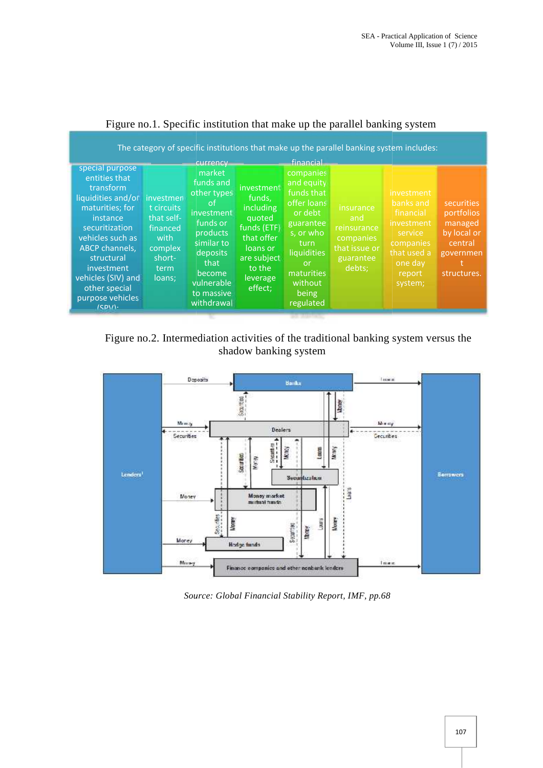| special purpose<br>entities that<br>transform<br>liquidities and/or<br>maturities; for<br>instance<br>financed<br>securitization<br>vehicles such as<br>ABCP channels,<br>structural<br>investment<br>vehicles (SIV) and<br>other special<br>purpose vehicles<br>(CDM) | The category of specific institutions that make up the parallel banking system includes:<br>currency<br>market<br>funds and<br>investment<br>other types<br>funds,<br>investmen<br>.ot<br>including<br>t circuits<br>investment<br>that self-<br>quoted<br>funds or<br>funds (ETF)<br>products<br>that offer<br>with<br>similar to<br>complex<br>loans or<br>deposits<br>are subject<br>short-<br>that<br>to the<br>term<br>become<br>loans;<br>leverage<br>vulnerable<br>effect;<br>to massive<br>withdrawal | financial<br>companies<br>and equity<br>funds that<br>offer loans<br>insurance<br>or debt<br>and<br>guarantee<br>reinsurance<br>s, or who<br>companies<br>turn<br>that issue or<br>liquidities<br>guarantee<br>or<br>debts;<br>maturities<br>without<br>being<br>regulated | investment<br>banks and<br>securities<br>financial<br>portfolios<br>investment<br>managed<br>by local or<br>service<br>companies<br>central<br>that used a<br>governmen<br>one day<br>structures.<br>report<br>system; |
|------------------------------------------------------------------------------------------------------------------------------------------------------------------------------------------------------------------------------------------------------------------------|---------------------------------------------------------------------------------------------------------------------------------------------------------------------------------------------------------------------------------------------------------------------------------------------------------------------------------------------------------------------------------------------------------------------------------------------------------------------------------------------------------------|----------------------------------------------------------------------------------------------------------------------------------------------------------------------------------------------------------------------------------------------------------------------------|------------------------------------------------------------------------------------------------------------------------------------------------------------------------------------------------------------------------|
|------------------------------------------------------------------------------------------------------------------------------------------------------------------------------------------------------------------------------------------------------------------------|---------------------------------------------------------------------------------------------------------------------------------------------------------------------------------------------------------------------------------------------------------------------------------------------------------------------------------------------------------------------------------------------------------------------------------------------------------------------------------------------------------------|----------------------------------------------------------------------------------------------------------------------------------------------------------------------------------------------------------------------------------------------------------------------------|------------------------------------------------------------------------------------------------------------------------------------------------------------------------------------------------------------------------|

### Figure no.1. Specific institution that make up the parallel banking system

Figure no.2. Intermediation activities of the traditional banking system versus the shadow banking system



*Source: Global Financial Stability Report, IMF, pp.68*